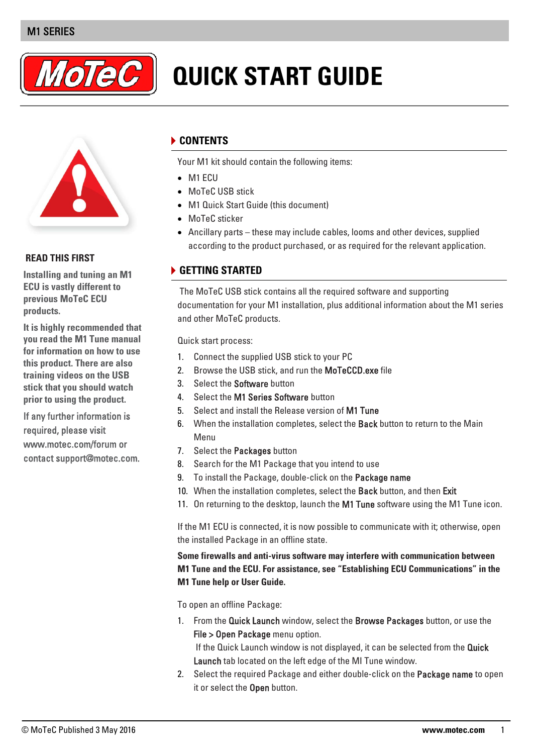# M1 SERIES



# **QUICK START GUIDE**



#### **READ THIS FIRST**

**Installing and tuning an M1 ECU is vastly different to previous MoTeC ECU products.** 

**It is highly recommended that you read the M1 Tune manual for information on how to use this product. There are also training videos on the USB stick that you should watch prior to using the product.** 

If any further information is required, please visit www.motec.com/forum or contact support@motec.com.

# **CONTENTS**

Your M1 kit should contain the following items:

- M1 ECU
- MoTeC USB stick
- M1 Quick Start Guide (this document)
- MoTeC sticker
- Ancillary parts these may include cables, looms and other devices, supplied according to the product purchased, or as required for the relevant application.

### **GETTING STARTED**

The MoTeC USB stick contains all the required software and supporting documentation for your M1 installation, plus additional information about the M1 series and other MoTeC products.

Quick start process:

- 1. Connect the supplied USB stick to your PC
- 2. Browse the USB stick, and run the MoTeCCD exe file
- 3. Select the Software button
- 4. Select the M1 Series Software button
- 5. Select and install the Release version of M1 Tune
- 6. When the installation completes, select the Back button to return to the Main Menu
- 7. Select the Packages button
- 8. Search for the M1 Package that you intend to use
- 9. To install the Package, double-click on the Package name
- 10. When the installation completes, select the Back button, and then Exit
- 11. On returning to the desktop, launch the M1 Tune software using the M1 Tune icon.

If the M1 ECU is connected, it is now possible to communicate with it; otherwise, open the installed Package in an offline state.

**Some firewalls and anti-virus software may interfere with communication between M1 Tune and the ECU. For assistance, see "Establishing ECU Communications" in the M1 Tune help or User Guide.**

To open an offline Package:

1. From the Quick Launch window, select the Browse Packages button, or use the File > Open Package menu option.

If the Quick Launch window is not displayed, it can be selected from the Quick Launch tab located on the left edge of the MI Tune window.

2. Select the required Package and either double-click on the **Package name** to open it or select the Open button.